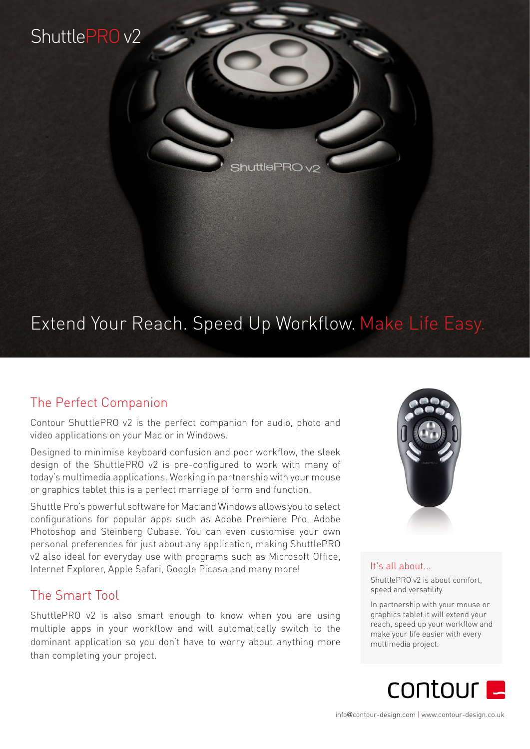## ShuttlePRO v2

 $\frac{1}{2}$ huttle $\frac{1}{2}$ RO $\sqrt{2}$ 

# Extend Your Reach. Speed Up Workflow. Make Life Easy.

## The Perfect Companion

Contour ShuttlePRO v2 is the perfect companion for audio, photo and video applications on your Mac or in Windows.

Designed to minimise keyboard confusion and poor workflow, the sleek design of the ShuttlePRO v2 is pre-configured to work with many of today's multimedia applications. Working in partnership with your mouse or graphics tablet this is a perfect marriage of form and function.

Shuttle Pro's powerful software for Mac and Windows allows you to select configurations for popular apps such as Adobe Premiere Pro, Adobe Photoshop and Steinberg Cubase. You can even customise your own personal preferences for just about any application, making ShuttlePRO v2 also ideal for everyday use with programs such as Microsoft Office, Internet Explorer, Apple Safari, Google Picasa and many more!

### The Smart Tool

ShuttlePRO v2 is also smart enough to know when you are using multiple apps in your workflow and will automatically switch to the dominant application so you don't have to worry about anything more than completing your project.



#### It's all about...

ShuttlePRO v2 is about comfort, speed and versatility.

In partnership with your mouse or graphics tablet it will extend your reach, speed up your workflow and make your life easier with every multimedia project.